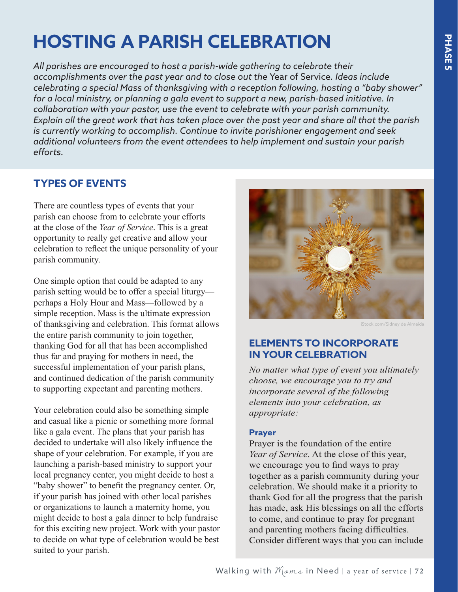# **HOSTING A PARISH CELEBRATION**

*All parishes are encouraged to host a parish-wide gathering to celebrate their accomplishments over the past year and to close out the* Year of Service*. Ideas include celebrating a special Mass of thanksgiving with a reception following, hosting a "baby shower" for a local ministry, or planning a gala event to support a new, parish-based initiative. In collaboration with your pastor, use the event to celebrate with your parish community. Explain all the great work that has taken place over the past year and share all that the parish is currently working to accomplish. Continue to invite parishioner engagement and seek additional volunteers from the event attendees to help implement and sustain your parish efforts.*

# **TYPES OF EVENTS**

There are countless types of events that your parish can choose from to celebrate your efforts at the close of the *Year of Service*. This is a great opportunity to really get creative and allow your celebration to reflect the unique personality of your parish community.

One simple option that could be adapted to any parish setting would be to offer a special liturgy perhaps a Holy Hour and Mass—followed by a simple reception. Mass is the ultimate expression of thanksgiving and celebration. This format allows the entire parish community to join together, thanking God for all that has been accomplished thus far and praying for mothers in need, the successful implementation of your parish plans, and continued dedication of the parish community to supporting expectant and parenting mothers.

Your celebration could also be something simple and casual like a picnic or something more formal like a gala event. The plans that your parish has decided to undertake will also likely influence the shape of your celebration. For example, if you are launching a parish-based ministry to support your local pregnancy center, you might decide to host a "baby shower" to benefit the pregnancy center. Or, if your parish has joined with other local parishes or organizations to launch a maternity home, you might decide to host a gala dinner to help fundraise for this exciting new project. Work with your pastor to decide on what type of celebration would be best suited to your parish.



iStock.com/Sidney de Almeida

## **ELEMENTS TO INCORPORATE IN YOUR CELEBRATION**

*No matter what type of event you ultimately choose, we encourage you to try and incorporate several of the following elements into your celebration, as appropriate:*

#### **Prayer**

Prayer is the foundation of the entire *Year of Service*. At the close of this year, we encourage you to find ways to pray together as a parish community during your celebration. We should make it a priority to thank God for all the progress that the parish has made, ask His blessings on all the efforts to come, and continue to pray for pregnant and parenting mothers facing difficulties. Consider different ways that you can include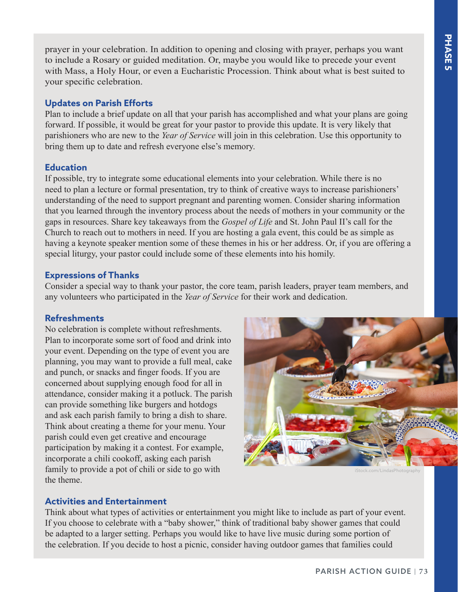prayer in your celebration. In addition to opening and closing with prayer, perhaps you want to include a Rosary or guided meditation. Or, maybe you would like to precede your event with Mass, a Holy Hour, or even a Eucharistic Procession. Think about what is best suited to your specific celebration.

#### **Updates on Parish Efforts**

Plan to include a brief update on all that your parish has accomplished and what your plans are going forward. If possible, it would be great for your pastor to provide this update. It is very likely that parishioners who are new to the *Year of Service* will join in this celebration. Use this opportunity to bring them up to date and refresh everyone else's memory.

#### **Education**

If possible, try to integrate some educational elements into your celebration. While there is no need to plan a lecture or formal presentation, try to think of creative ways to increase parishioners' understanding of the need to support pregnant and parenting women. Consider sharing information that you learned through the inventory process about the needs of mothers in your community or the gaps in resources. Share key takeaways from the *Gospel of Life* and St. John Paul II's call for the Church to reach out to mothers in need. If you are hosting a gala event, this could be as simple as having a keynote speaker mention some of these themes in his or her address. Or, if you are offering a special liturgy, your pastor could include some of these elements into his homily.

#### **Expressions of Thanks**

Consider a special way to thank your pastor, the core team, parish leaders, prayer team members, and any volunteers who participated in the *Year of Service* for their work and dedication.

## **Refreshments**

No celebration is complete without refreshments. Plan to incorporate some sort of food and drink into your event. Depending on the type of event you are planning, you may want to provide a full meal, cake and punch, or snacks and finger foods. If you are concerned about supplying enough food for all in attendance, consider making it a potluck. The parish can provide something like burgers and hotdogs and ask each parish family to bring a dish to share. Think about creating a theme for your menu. Your parish could even get creative and encourage participation by making it a contest. For example, incorporate a chili cookoff, asking each parish family to provide a pot of chili or side to go with the theme.



iStock.com/LindasPhotography

## **Activities and Entertainment**

Think about what types of activities or entertainment you might like to include as part of your event. If you choose to celebrate with a "baby shower," think of traditional baby shower games that could be adapted to a larger setting. Perhaps you would like to have live music during some portion of the celebration. If you decide to host a picnic, consider having outdoor games that families could